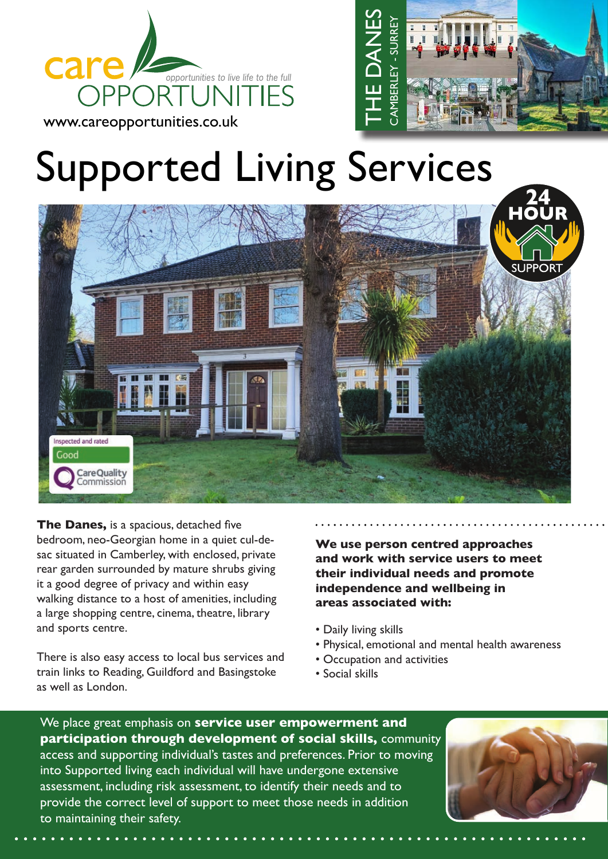





**The Danes,** is a spacious, detached five bedroom, neo-Georgian home in a quiet cul-desac situated in Camberley, with enclosed, private rear garden surrounded by mature shrubs giving it a good degree of privacy and within easy walking distance to a host of amenities, including a large shopping centre, cinema, theatre, library and sports centre.

There is also easy access to local bus services and train links to Reading, Guildford and Basingstoke as well as London.

**We use person centred approaches and work with service users to meet their individual needs and promote independence and wellbeing in areas associated with:**

- Daily living skills
- Physical, emotional and mental health awareness
- Occupation and activities
- Social skills

We place great emphasis on **service user empowerment and participation through development of social skills,** community access and supporting individual's tastes and preferences. Prior to moving into Supported living each individual will have undergone extensive assessment, including risk assessment, to identify their needs and to provide the correct level of support to meet those needs in addition to maintaining their safety.